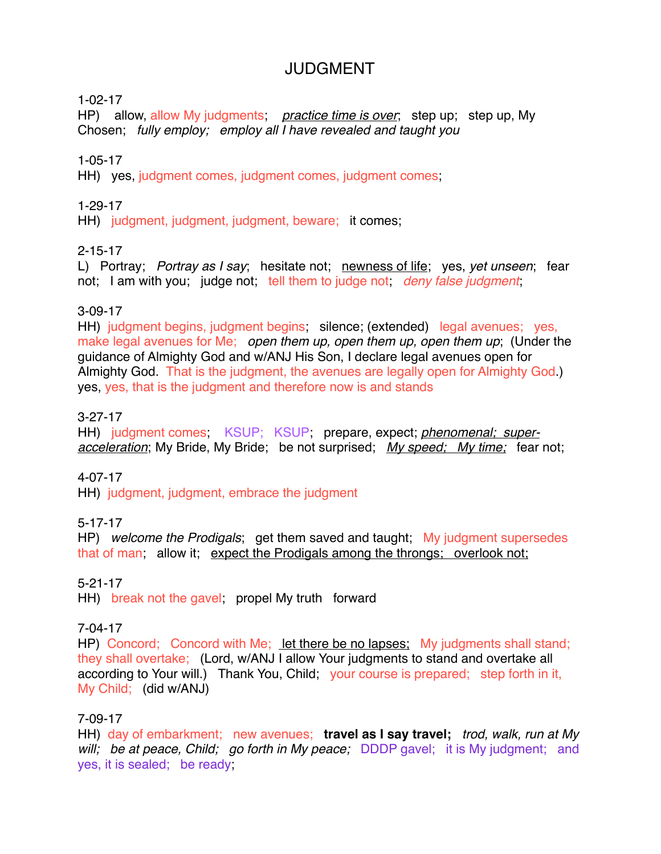# **JUDGMENT**

1-02-17

HP) allow, allow My judgments; *practice time is over*; step up; step up, My Chosen; *fully employ; employ all I have revealed and taught you*

1-05-17

HH) yes, judgment comes, judgment comes, judgment comes;

#### 1-29-17

HH) judgment, judgment, judgment, beware; it comes;

#### 2-15-17

L) Portray; *Portray as I say*; hesitate not; newness of life; yes, *yet unseen*; fear not; I am with you; judge not; tell them to judge not; *deny false judgment*;

#### 3-09-17

HH) judgment begins, judgment begins; silence; (extended) legal avenues; yes, make legal avenues for Me; *open them up, open them up, open them up*; (Under the guidance of Almighty God and w/ANJ His Son, I declare legal avenues open for Almighty God. That is the judgment, the avenues are legally open for Almighty God.) yes, yes, that is the judgment and therefore now is and stands

#### 3-27-17

HH) judgment comes; KSUP; KSUP; prepare, expect; *phenomenal; superacceleration*; My Bride, My Bride; be not surprised; *My speed; My time;* fear not;

# 4-07-17

HH) judgment, judgment, embrace the judgment

# 5-17-17

HP) *welcome the Prodigals*; get them saved and taught; My judgment supersedes that of man; allow it; expect the Prodigals among the throngs; overlook not;

# 5-21-17

HH) break not the gavel; propel My truth forward

#### 7-04-17

HP) Concord; Concord with Me; let there be no lapses; My judgments shall stand; they shall overtake; (Lord, w/ANJ I allow Your judgments to stand and overtake all according to Your will.) Thank You, Child; your course is prepared; step forth in it, My Child; (did w/ANJ)

#### 7-09-17

HH) day of embarkment; new avenues; **travel as I say travel;** *trod, walk, run at My will; be at peace, Child; go forth in My peace;* DDDP gavel; it is My judgment; and yes, it is sealed; be ready;